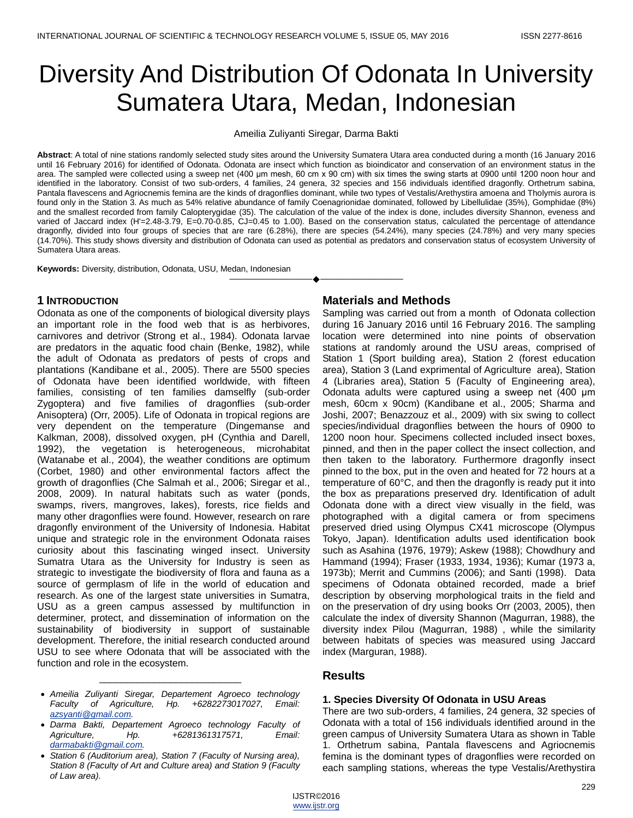# Diversity And Distribution Of Odonata In University Sumatera Utara, Medan, Indonesian

Ameilia Zuliyanti Siregar, Darma Bakti

**Abstract**: A total of nine stations randomly selected study sites around the University Sumatera Utara area conducted during a month (16 January 2016 until 16 February 2016) for identified of Odonata. Odonata are insect which function as bioindicator and conservation of an environment status in the area. The sampled were collected using a sweep net (400 μm mesh, 60 cm x 90 cm) with six times the swing starts at 0900 until 1200 noon hour and identified in the laboratory. Consist of two sub-orders, 4 families, 24 genera, 32 species and 156 individuals identified dragonfly. Orthetrum sabina, Pantala flavescens and Agriocnemis femina are the kinds of dragonflies dominant, while two types of Vestalis/Arethystira amoena and Tholymis aurora is found only in the Station 3. As much as 54% relative abundance of family Coenagrionidae dominated, followed by Libellulidae (35%), Gomphidae (8%) and the smallest recorded from family Calopterygidae (35). The calculation of the value of the index is done, includes diversity Shannon, eveness and varied of Jaccard index (H'=2.48-3.79, E=0.70-0.85, CJ=0.45 to 1.00). Based on the conservation status, calculated the percentage of attendance dragonfly, divided into four groups of species that are rare (6.28%), there are species (54.24%), many species (24.78%) and very many species (14.70%). This study shows diversity and distribution of Odonata can used as potential as predators and conservation status of ecosystem University of Sumatera Utara areas.

————————————————————

**Keywords:** Diversity, distribution, Odonata, USU, Medan, Indonesian

## **1 INTRODUCTION**

Odonata as one of the components of biological diversity plays an important role in the food web that is as herbivores, carnivores and detrivor (Strong et al., 1984). Odonata larvae are predators in the aquatic food chain (Benke, 1982), while the adult of Odonata as predators of pests of crops and plantations (Kandibane et al., 2005). There are 5500 species of Odonata have been identified worldwide, with fifteen families, consisting of ten families damselfly (sub-order Zygoptera) and five families of dragonflies (sub-order Anisoptera) (Orr, 2005). Life of Odonata in tropical regions are very dependent on the temperature (Dingemanse and Kalkman, 2008), dissolved oxygen, pH (Cynthia and Darell, 1992), the vegetation is heterogeneous, microhabitat (Watanabe et al., 2004), the weather conditions are optimum (Corbet, 1980) and other environmental factors affect the growth of dragonflies (Che Salmah et al., 2006; Siregar et al., 2008, 2009). In natural habitats such as water (ponds, swamps, rivers, mangroves, lakes), forests, rice fields and many other dragonflies were found. However, research on rare dragonfly environment of the University of Indonesia. Habitat unique and strategic role in the environment Odonata raises curiosity about this fascinating winged insect. University Sumatra Utara as the University for Industry is seen as strategic to investigate the biodiversity of flora and fauna as a source of germplasm of life in the world of education and research. As one of the largest state universities in Sumatra, USU as a green campus assessed by multifunction in determiner, protect, and dissemination of information on the sustainability of biodiversity in support of sustainable development. Therefore, the initial research conducted around USU to see where Odonata that will be associated with the function and role in the ecosystem.

#### *Ameilia Zuliyanti Siregar, Departement Agroeco technology Faculty of Agriculture, Hp. +6282273017027, Email: [azsyanti@gmail.com.](mailto:azsyanti@gmail.com)*

\_\_\_\_\_\_\_\_\_\_\_\_\_\_\_\_\_\_\_\_\_\_\_\_\_\_

- *Darma Bakti, Departement Agroeco technology Faculty of Agriculture, Hp. +6281361317571, Email: [darmabakti@gmail.com.](mailto:darmabakti@gmail.com)*
- *Station 6 (Auditorium area), Station 7 (Faculty of Nursing area), Station 8 (Faculty of Art and Culture area) and Station 9 (Faculty of Law area).*

## **Materials and Methods**

Sampling was carried out from a month of Odonata collection during 16 January 2016 until 16 February 2016. The sampling location were determined into nine points of observation stations at randomly around the USU areas, comprised of Station 1 (Sport building area), Station 2 (forest education area), Station 3 (Land exprimental of Agriculture area), Station 4 (Libraries area), Station 5 (Faculty of Engineering area), Odonata adults were captured using a sweep net (400 μm mesh, 60cm x 90cm) (Kandibane et al., 2005; Sharma and Joshi, 2007; Benazzouz et al., 2009) with six swing to collect species/individual dragonflies between the hours of 0900 to 1200 noon hour. Specimens collected included insect boxes, pinned, and then in the paper collect the insect collection, and then taken to the laboratory. Furthermore dragonfly insect pinned to the box, put in the oven and heated for 72 hours at a temperature of 60°C, and then the dragonfly is ready put it into the box as preparations preserved dry. Identification of adult Odonata done with a direct view visually in the field, was photographed with a digital camera or from specimens preserved dried using Olympus CX41 microscope (Olympus Tokyo, Japan). Identification adults used identification book such as Asahina (1976, 1979); Askew (1988); Chowdhury and Hammand (1994); Fraser (1933, 1934, 1936); Kumar (1973 a, 1973b); Merrit and Cummins (2006); and Santi (1998). Data specimens of Odonata obtained recorded, made a brief description by observing morphological traits in the field and on the preservation of dry using books Orr (2003, 2005), then calculate the index of diversity Shannon (Magurran, 1988), the diversity index Pilou (Magurran, 1988) , while the similarity between habitats of species was measured using Jaccard index (Marguran, 1988).

## **Results**

## **1. Species Diversity Of Odonata in USU Areas**

There are two sub-orders, 4 families, 24 genera, 32 species of Odonata with a total of 156 individuals identified around in the green campus of University Sumatera Utara as shown in Table 1. Orthetrum sabina, Pantala flavescens and Agriocnemis femina is the dominant types of dragonflies were recorded on each sampling stations, whereas the type Vestalis/Arethystira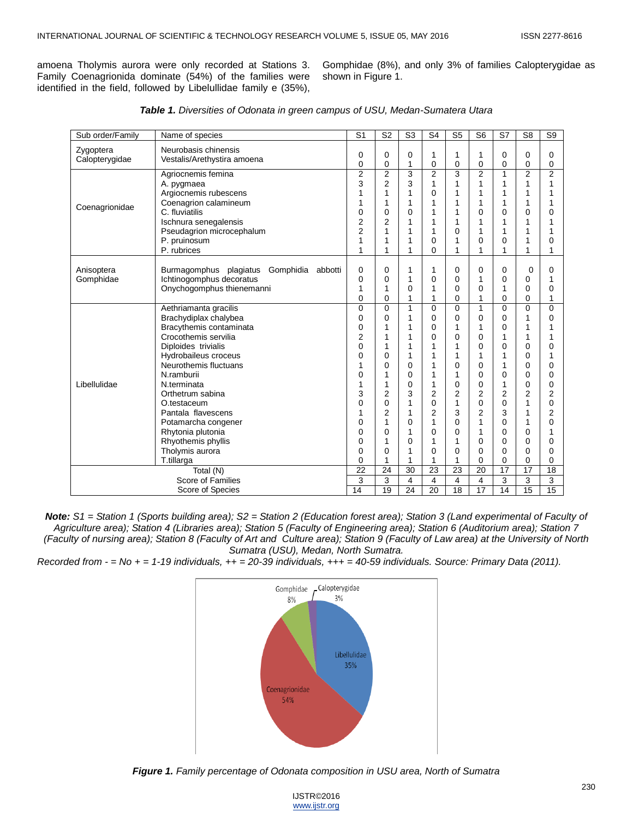amoena Tholymis aurora were only recorded at Stations 3. Family Coenagrionida dominate (54%) of the families were identified in the field, followed by Libelullidae family e (35%),

Gomphidae (8%), and only 3% of families Calopterygidae as shown in Figure 1.

| Sub order/Family                      | Name of species                                                                                                                                                                                                                                                                                                                                                    | S <sub>1</sub>                                                                                     | S <sub>2</sub>                                                                                    | S <sub>3</sub>                                                                    | S <sub>4</sub>                                           | S <sub>5</sub>                                                                    | S <sub>6</sub>                                                                                            | S7                                                                                                                  | S <sub>8</sub>                                                                                              | S <sub>9</sub>                                                                                              |
|---------------------------------------|--------------------------------------------------------------------------------------------------------------------------------------------------------------------------------------------------------------------------------------------------------------------------------------------------------------------------------------------------------------------|----------------------------------------------------------------------------------------------------|---------------------------------------------------------------------------------------------------|-----------------------------------------------------------------------------------|----------------------------------------------------------|-----------------------------------------------------------------------------------|-----------------------------------------------------------------------------------------------------------|---------------------------------------------------------------------------------------------------------------------|-------------------------------------------------------------------------------------------------------------|-------------------------------------------------------------------------------------------------------------|
| Zygoptera<br>Calopterygidae           | Neurobasis chinensis<br>Vestalis/Arethystira amoena                                                                                                                                                                                                                                                                                                                | 0<br>$\Omega$                                                                                      | 0<br>0                                                                                            | 0<br>1                                                                            | 1<br>0                                                   | 1<br>0                                                                            | 1<br>0                                                                                                    | 0<br>$\Omega$                                                                                                       | 0<br>0                                                                                                      | 0<br>$\mathbf 0$                                                                                            |
| Coenagrionidae                        | Agriocnemis femina<br>A. pygmaea<br>Argiocnemis rubescens<br>Coenagrion calamineum<br>C. fluviatilis<br>Ischnura senegalensis                                                                                                                                                                                                                                      | $\overline{2}$<br>3<br>1<br>1<br>0<br>2                                                            | $\overline{2}$<br>$\overline{2}$<br>1<br>1<br>0<br>$\overline{2}$                                 | 3<br>3<br>1<br>1<br>0<br>1                                                        | $\overline{2}$<br>1<br>0                                 | 3<br>1<br>1<br>1<br>1<br>1                                                        | $\overline{2}$<br>1<br>1<br>1<br>0<br>1                                                                   | 1<br>1<br>1<br>1<br>0<br>1                                                                                          | $\overline{2}$<br>1<br>1<br>1<br>0<br>1                                                                     | $\overline{2}$<br>1<br>1<br>1<br>0<br>1                                                                     |
|                                       | Pseudagrion microcephalum<br>P. pruinosum<br>P. rubrices                                                                                                                                                                                                                                                                                                           | $\overline{2}$<br>1<br>1                                                                           | 1<br>1                                                                                            | 1<br>1<br>1                                                                       | 0<br>0                                                   | 0<br>1<br>1                                                                       | 1<br>0<br>1                                                                                               | 1<br>$\Omega$<br>1                                                                                                  | 1<br>1<br>1                                                                                                 | $\Omega$<br>1                                                                                               |
| Anisoptera<br>Gomphidae               | Gomphidia<br>Burmagomphus plagiatus<br>abbotti<br>Ichtinogomphus decoratus<br>Onychogomphus thienemanni                                                                                                                                                                                                                                                            | 0<br>0<br>1<br>0                                                                                   | 0<br>0<br>1<br>0                                                                                  | 1<br>1<br>0<br>1                                                                  | 1<br>0                                                   | 0<br>0<br>0<br>0                                                                  | 0<br>1<br>0<br>1                                                                                          | 0<br>0<br>1<br>0                                                                                                    | 0<br>0<br>0<br>0                                                                                            | 0<br>1<br>0<br>1                                                                                            |
| Libellulidae                          | Aethriamanta gracilis<br>Brachydiplax chalybea<br>Bracythemis contaminata<br>Crocothemis servilia<br>Diploides trivialis<br>Hydrobaileus croceus<br>Neurothemis fluctuans<br>N.ramburii<br>N.terminata<br>Orthetrum sabina<br>O.testaceum<br>Pantala flavescens<br>Potamarcha congener<br>Rhytonia plutonia<br>Rhyothemis phyllis<br>Tholymis aurora<br>T.tillarga | $\mathbf 0$<br>0<br>0<br>2<br>0<br>$\Omega$<br>1<br>0<br>1<br>3<br>0<br>1<br>0<br>0<br>0<br>0<br>0 | 0<br>0<br>1<br>0<br>0<br>1<br>1<br>$\overline{2}$<br>0<br>$\overline{2}$<br>1<br>0<br>1<br>0<br>1 | 1<br>1<br>1<br>1<br>1<br>1<br>0<br>0<br>0<br>3<br>1<br>1<br>0<br>1<br>0<br>1<br>1 | 0<br>0<br>0<br>0<br>1<br>1<br>2<br>0<br>2<br>1<br>0<br>0 | 0<br>0<br>1<br>0<br>1<br>1<br>0<br>1<br>0<br>2<br>1<br>3<br>0<br>0<br>1<br>0<br>1 | $\mathbf{1}$<br>0<br>1<br>0<br>0<br>1<br>0<br>0<br>0<br>$\overline{2}$<br>0<br>2<br>1<br>1<br>0<br>0<br>0 | $\Omega$<br>0<br>0<br>1<br>0<br>1<br>1<br>0<br>1<br>$\overline{2}$<br>0<br>3<br>0<br>0<br>$\Omega$<br>$\Omega$<br>0 | $\overline{0}$<br>1<br>1<br>1<br>0<br>0<br>0<br>0<br>0<br>$\overline{2}$<br>1<br>1<br>1<br>0<br>0<br>0<br>0 | $\mathbf 0$<br>0<br>0<br>1<br>0<br>0<br>0<br>$\overline{2}$<br>0<br>$\overline{2}$<br>0<br>1<br>0<br>0<br>0 |
|                                       | Total (N)                                                                                                                                                                                                                                                                                                                                                          | 22<br>3                                                                                            | 24                                                                                                | 30                                                                                | 23                                                       | 23                                                                                | 20                                                                                                        | 17                                                                                                                  | 17                                                                                                          | 18                                                                                                          |
| Score of Families<br>Score of Species |                                                                                                                                                                                                                                                                                                                                                                    |                                                                                                    | 3<br>19                                                                                           | 4<br>24                                                                           | 4<br>20                                                  | 4<br>18                                                                           | $\overline{4}$<br>$\overline{17}$                                                                         | 3<br>14                                                                                                             | 3<br>$\overline{15}$                                                                                        | 3<br>15                                                                                                     |

| Table 1. Diversities of Odonata in green campus of USU, Medan-Sumatera Utara |  |  |
|------------------------------------------------------------------------------|--|--|
|------------------------------------------------------------------------------|--|--|

*Note: S1 = Station 1 (Sports building area); S2 = Station 2 (Education forest area); Station 3 (Land experimental of Faculty of Agriculture area); Station 4 (Libraries area); Station 5 (Faculty of Engineering area); Station 6 (Auditorium area); Station 7 (Faculty of nursing area); Station 8 (Faculty of Art and Culture area); Station 9 (Faculty of Law area) at the University of North Sumatra (USU), Medan, North Sumatra.*

*Recorded from - = No + = 1-19 individuals, ++ = 20-39 individuals, +++ = 40-59 individuals. Source: Primary Data (2011).*



*Figure 1. Family percentage of Odonata composition in USU area, North of Sumatra*

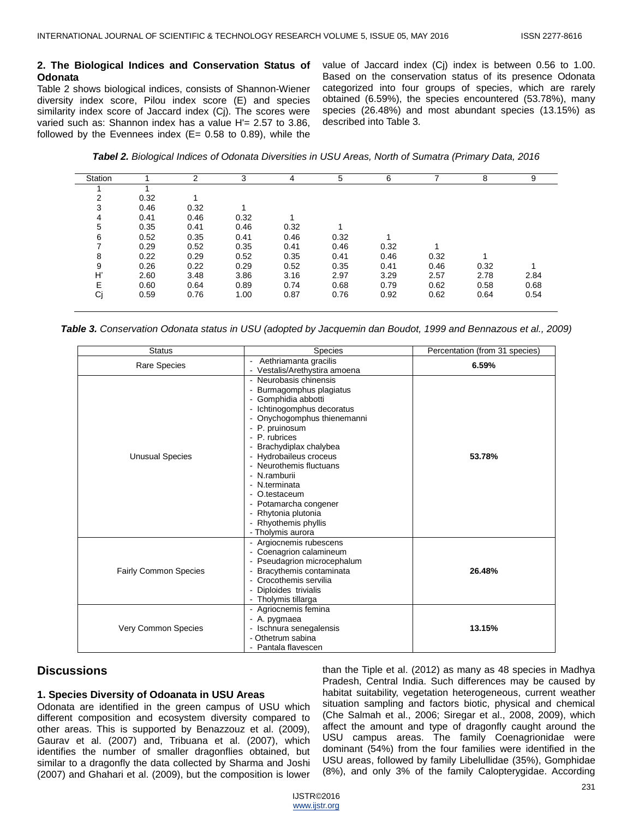#### **2. The Biological Indices and Conservation Status of Odonata**

Table 2 shows biological indices, consists of Shannon-Wiener diversity index score, Pilou index score (E) and species similarity index score of Jaccard index (Cj). The scores were varied such as: Shannon index has a value H'= 2.57 to 3.86, followed by the Evennees index  $(E= 0.58$  to 0.89), while the value of Jaccard index (Cj) index is between 0.56 to 1.00. Based on the conservation status of its presence Odonata categorized into four groups of species, which are rarely obtained (6.59%), the species encountered (53.78%), many species (26.48%) and most abundant species (13.15%) as described into Table 3.

*Tabel 2. Biological Indices of Odonata Diversities in USU Areas, North of Sumatra (Primary Data, 2016*

| Station |      | っ    | 3    |      | 5    | 6    |      | 8    | 9    |
|---------|------|------|------|------|------|------|------|------|------|
|         |      |      |      |      |      |      |      |      |      |
| 2       | 0.32 |      |      |      |      |      |      |      |      |
| 3       | 0.46 | 0.32 |      |      |      |      |      |      |      |
| 4       | 0.41 | 0.46 | 0.32 |      |      |      |      |      |      |
| 5       | 0.35 | 0.41 | 0.46 | 0.32 |      |      |      |      |      |
| 6       | 0.52 | 0.35 | 0.41 | 0.46 | 0.32 |      |      |      |      |
|         | 0.29 | 0.52 | 0.35 | 0.41 | 0.46 | 0.32 |      |      |      |
| 8       | 0.22 | 0.29 | 0.52 | 0.35 | 0.41 | 0.46 | 0.32 |      |      |
| 9       | 0.26 | 0.22 | 0.29 | 0.52 | 0.35 | 0.41 | 0.46 | 0.32 |      |
| H       | 2.60 | 3.48 | 3.86 | 3.16 | 2.97 | 3.29 | 2.57 | 2.78 | 2.84 |
| E       | 0.60 | 0.64 | 0.89 | 0.74 | 0.68 | 0.79 | 0.62 | 0.58 | 0.68 |
| Cj      | 0.59 | 0.76 | 1.00 | 0.87 | 0.76 | 0.92 | 0.62 | 0.64 | 0.54 |
|         |      |      |      |      |      |      |      |      |      |

*Table 3. Conservation Odonata status in USU (adopted by Jacquemin dan Boudot, 1999 and Bennazous et al., 2009)*

| <b>Status</b>                | <b>Species</b>                                                                                                                                                                                                                                                                                                                                                                                         | Percentation (from 31 species) |  |  |
|------------------------------|--------------------------------------------------------------------------------------------------------------------------------------------------------------------------------------------------------------------------------------------------------------------------------------------------------------------------------------------------------------------------------------------------------|--------------------------------|--|--|
| Rare Species                 | Aethriamanta gracilis<br>$\overline{\phantom{0}}$<br>- Vestalis/Arethystira amoena                                                                                                                                                                                                                                                                                                                     | 6.59%                          |  |  |
| <b>Unusual Species</b>       | - Neurobasis chinensis<br>Burmagomphus plagiatus<br>- Gomphidia abbotti<br>- Ichtinogomphus decoratus<br>- Onychogomphus thienemanni<br>- P. pruinosum<br>- P. rubrices<br>- Brachydiplax chalybea<br>- Hydrobaileus croceus<br>- Neurothemis fluctuans<br>- N.ramburii<br>- N.terminata<br>- O.testaceum<br>- Potamarcha congener<br>- Rhytonia plutonia<br>- Rhyothemis phyllis<br>- Tholymis aurora | 53.78%                         |  |  |
| <b>Fairly Common Species</b> | Argiocnemis rubescens<br>- Coenagrion calamineum<br>- Pseudagrion microcephalum<br>Bracythemis contaminata<br>- Crocothemis servilia<br>- Diploides trivialis<br>- Tholymis tillarga                                                                                                                                                                                                                   | 26.48%                         |  |  |
| <b>Very Common Species</b>   | - Agriocnemis femina<br>- A. pygmaea<br>- Ischnura senegalensis<br>- Othetrum sabina<br>- Pantala flavescen                                                                                                                                                                                                                                                                                            | 13.15%                         |  |  |

## **Discussions**

#### **1. Species Diversity of Odoanata in USU Areas**

Odonata are identified in the green campus of USU which different composition and ecosystem diversity compared to other areas. This is supported by Benazzouz et al. (2009), Gaurav et al. (2007) and, Tribuana et al. (2007), which identifies the number of smaller dragonflies obtained, but similar to a dragonfly the data collected by Sharma and Joshi (2007) and Ghahari et al. (2009), but the composition is lower

than the Tiple et al. (2012) as many as 48 species in Madhya Pradesh, Central India. Such differences may be caused by habitat suitability, vegetation heterogeneous, current weather situation sampling and factors biotic, physical and chemical (Che Salmah et al., 2006; Siregar et al., 2008, 2009), which affect the amount and type of dragonfly caught around the USU campus areas. The family Coenagrionidae were dominant (54%) from the four families were identified in the USU areas, followed by family Libelullidae (35%), Gomphidae (8%), and only 3% of the family Calopterygidae. According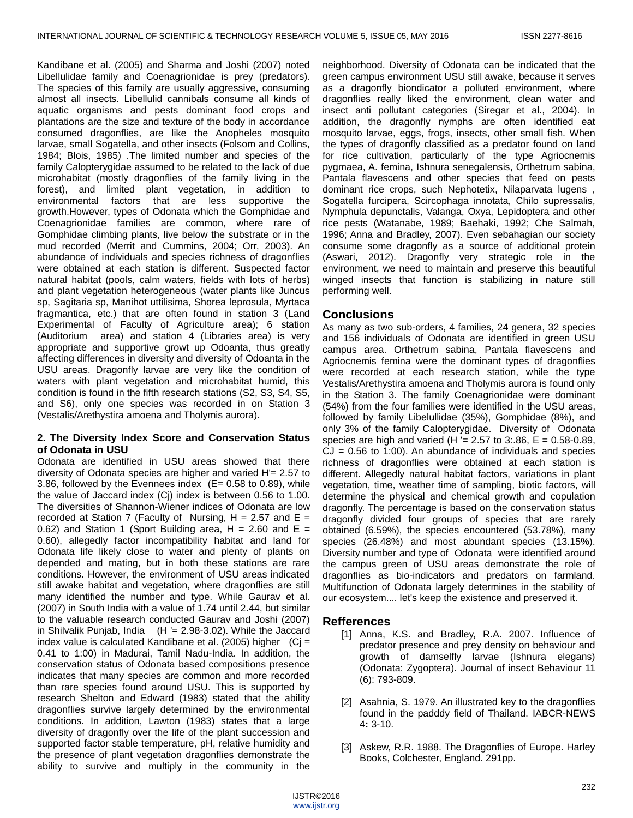Kandibane et al. (2005) and Sharma and Joshi (2007) noted Libellulidae family and Coenagrionidae is prey (predators). The species of this family are usually aggressive, consuming almost all insects. Libellulid cannibals consume all kinds of aquatic organisms and pests dominant food crops and plantations are the size and texture of the body in accordance consumed dragonflies, are like the Anopheles mosquito larvae, small Sogatella, and other insects (Folsom and Collins, 1984; Blois, 1985) .The limited number and species of the family Calopterygidae assumed to be related to the lack of due microhabitat (mostly dragonflies of the family living in the forest), and limited plant vegetation, in addition to environmental factors that are less supportive the growth.However, types of Odonata which the Gomphidae and Coenagrionidae families are common, where rare of Gomphidae climbing plants, live below the substrate or in the mud recorded (Merrit and Cummins, 2004; Orr, 2003). An abundance of individuals and species richness of dragonflies were obtained at each station is different. Suspected factor natural habitat (pools, calm waters, fields with lots of herbs) and plant vegetation heterogeneous (water plants like Juncus sp, Sagitaria sp, Manihot uttilisima, Shorea leprosula, Myrtaca fragmantica, etc.) that are often found in station 3 (Land Experimental of Faculty of Agriculture area); 6 station (Auditorium area) and station 4 (Libraries area) is very appropriate and supportive growt up Odoanta, thus greatly affecting differences in diversity and diversity of Odoanta in the USU areas. Dragonfly larvae are very like the condition of waters with plant vegetation and microhabitat humid, this condition is found in the fifth research stations (S2, S3, S4, S5, and S6), only one species was recorded in on Station 3 (Vestalis/Arethystira amoena and Tholymis aurora).

### **2. The Diversity Index Score and Conservation Status of Odonata in USU**

Odonata are identified in USU areas showed that there diversity of Odonata species are higher and varied H'= 2.57 to 3.86, followed by the Evennees index (E= 0.58 to 0.89), while the value of Jaccard index (Cj) index is between 0.56 to 1.00. The diversities of Shannon-Wiener indices of Odonata are low recorded at Station 7 (Faculty of Nursing,  $H = 2.57$  and  $E =$ 0.62) and Station 1 (Sport Building area,  $H = 2.60$  and  $E =$ 0.60), allegedly factor incompatibility habitat and land for Odonata life likely close to water and plenty of plants on depended and mating, but in both these stations are rare conditions. However, the environment of USU areas indicated still awake habitat and vegetation, where dragonflies are still many identified the number and type. While Gaurav et al. (2007) in South India with a value of 1.74 until 2.44, but similar to the valuable research conducted Gaurav and Joshi (2007) in Shilvalik Punjab, India  $(H = 2.98-3.02)$ . While the Jaccard index value is calculated Kandibane et al. (2005) higher  $(Cj =$ 0.41 to 1:00) in Madurai, Tamil Nadu-India. In addition, the conservation status of Odonata based compositions presence indicates that many species are common and more recorded than rare species found around USU. This is supported by research Shelton and Edward (1983) stated that the ability dragonflies survive largely determined by the environmental conditions. In addition, Lawton (1983) states that a large diversity of dragonfly over the life of the plant succession and supported factor stable temperature, pH, relative humidity and the presence of plant vegetation dragonflies demonstrate the ability to survive and multiply in the community in the

neighborhood. Diversity of Odonata can be indicated that the green campus environment USU still awake, because it serves as a dragonfly biondicator a polluted environment, where dragonflies really liked the environment, clean water and insect anti pollutant categories (Siregar et al., 2004). In addition, the dragonfly nymphs are often identified eat mosquito larvae, eggs, frogs, insects, other small fish. When the types of dragonfly classified as a predator found on land for rice cultivation, particularly of the type Agriocnemis pygmaea, A. femina, Ishnura senegalensis, Orthetrum sabina, Pantala flavescens and other species that feed on pests dominant rice crops, such Nephotetix, Nilaparvata lugens , Sogatella furcipera, Scircophaga innotata, Chilo supressalis, Nymphula depunctalis, Valanga, Oxya, Lepidoptera and other rice pests (Watanabe, 1989; Baehaki, 1992; Che Salmah, 1996; Anna and Bradley, 2007). Even sebahagian our society consume some dragonfly as a source of additional protein (Aswari, 2012). Dragonfly very strategic role in the environment, we need to maintain and preserve this beautiful winged insects that function is stabilizing in nature still performing well.

## **Conclusions**

As many as two sub-orders, 4 families, 24 genera, 32 species and 156 individuals of Odonata are identified in green USU campus area. Orthetrum sabina, Pantala flavescens and Agriocnemis femina were the dominant types of dragonflies were recorded at each research station, while the type Vestalis/Arethystira amoena and Tholymis aurora is found only in the Station 3. The family Coenagrionidae were dominant (54%) from the four families were identified in the USU areas, followed by family Libelullidae (35%), Gomphidae (8%), and only 3% of the family Calopterygidae. Diversity of Odonata species are high and varied (H  $=$  2.57 to 3:.86, E = 0.58-0.89,  $CJ = 0.56$  to 1:00). An abundance of individuals and species richness of dragonflies were obtained at each station is different. Allegedly natural habitat factors, variations in plant vegetation, time, weather time of sampling, biotic factors, will determine the physical and chemical growth and copulation dragonfly. The percentage is based on the conservation status dragonfly divided four groups of species that are rarely obtained (6.59%), the species encountered (53.78%), many species (26.48%) and most abundant species (13.15%). Diversity number and type of Odonata were identified around the campus green of USU areas demonstrate the role of dragonflies as bio-indicators and predators on farmland. Multifunction of Odonata largely determines in the stability of our ecosystem.... let's keep the existence and preserved it.

## **Refferences**

- [1] Anna, K.S. and Bradley, R.A. 2007. Influence of predator presence and prey density on behaviour and growth of damselfly larvae (Ishnura elegans) (Odonata: Zygoptera). Journal of insect Behaviour 11 (6): 793-809.
- [2] Asahnia, S. 1979. An illustrated key to the dragonflies found in the padddy field of Thailand. IABCR-NEWS 4**:** 3-10.
- [3] Askew, R.R. 1988. The Dragonflies of Europe. Harley Books, Colchester, England. 291pp.

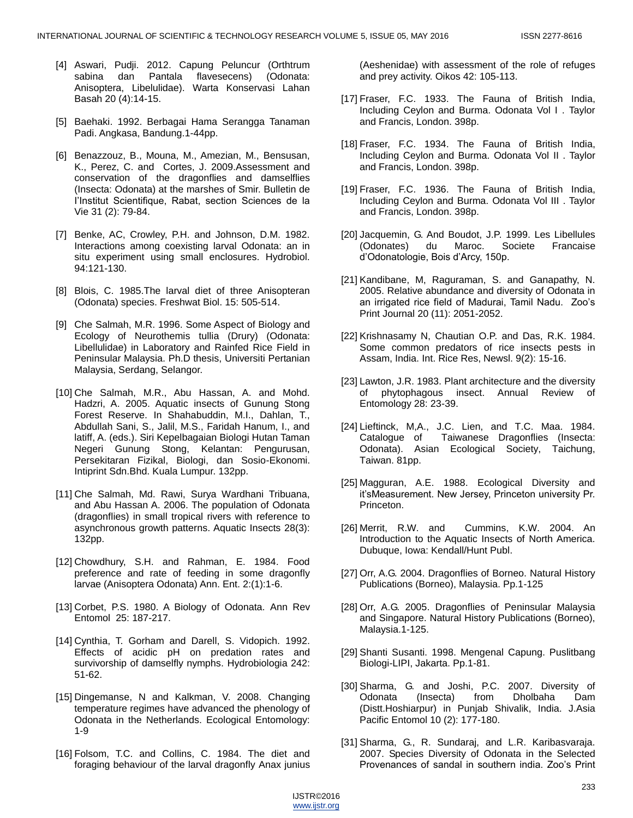- [4] Aswari, Pudji. 2012. Capung Peluncur (Orthtrum sabina dan Pantala flavesecens) (Odonata: Anisoptera, Libelulidae). Warta Konservasi Lahan Basah 20 (4):14-15.
- [5] Baehaki. 1992. Berbagai Hama Serangga Tanaman Padi. Angkasa, Bandung.1-44pp.
- [6] Benazzouz, B., Mouna, M., Amezian, M., Bensusan, K., Perez, C. and Cortes, J. 2009.Assessment and conservation of the dragonflies and damselflies (Insecta: Odonata) at the marshes of Smir. Bulletin de I'Institut Scientifique, Rabat, section Sciences de la Vie 31 (2): 79-84.
- [7] Benke, AC, Crowley, P.H. and Johnson, D.M. 1982. Interactions among coexisting larval Odonata: an in situ experiment using small enclosures. Hydrobiol. 94:121-130.
- [8] Blois, C. 1985.The larval diet of three Anisopteran (Odonata) species. Freshwat Biol. 15: 505-514.
- [9] Che Salmah, M.R. 1996. Some Aspect of Biology and Ecology of Neurothemis tullia (Drury) (Odonata: Libellulidae) in Laboratory and Rainfed Rice Field in Peninsular Malaysia. Ph.D thesis, Universiti Pertanian Malaysia, Serdang, Selangor.
- [10] Che Salmah, M.R., Abu Hassan, A. and Mohd. Hadzri, A. 2005. Aquatic insects of Gunung Stong Forest Reserve. In Shahabuddin, M.I., Dahlan, T., Abdullah Sani, S., Jalil, M.S., Faridah Hanum, I., and latiff, A. (eds.). Siri Kepelbagaian Biologi Hutan Taman Negeri Gunung Stong, Kelantan: Pengurusan, Persekitaran Fizikal, Biologi, dan Sosio-Ekonomi. Intiprint Sdn.Bhd. Kuala Lumpur. 132pp.
- [11] Che Salmah, Md. Rawi, Surya Wardhani Tribuana, and Abu Hassan A. 2006. The population of Odonata (dragonflies) in small tropical rivers with reference to asynchronous growth patterns. Aquatic Insects 28(3): 132pp.
- [12] Chowdhury, S.H. and Rahman, E. 1984. Food preference and rate of feeding in some dragonfly larvae (Anisoptera Odonata) Ann. Ent. 2:(1):1-6.
- [13] Corbet, P.S. 1980. A Biology of Odonata. Ann Rev Entomol 25: 187-217.
- [14] Cynthia, T. Gorham and Darell, S. Vidopich. 1992. Effects of acidic pH on predation rates and survivorship of damselfly nymphs. Hydrobiologia 242: 51-62.
- [15] Dingemanse, N and Kalkman, V. 2008. Changing temperature regimes have advanced the phenology of Odonata in the Netherlands. Ecological Entomology: 1-9
- [16] Folsom, T.C. and Collins, C. 1984. The diet and foraging behaviour of the larval dragonfly Anax junius

(Aeshenidae) with assessment of the role of refuges and prey activity. Oikos 42: 105-113.

- [17] Fraser, F.C. 1933. The Fauna of British India, Including Ceylon and Burma. Odonata Vol I . Taylor and Francis, London. 398p.
- [18] Fraser, F.C. 1934. The Fauna of British India, Including Ceylon and Burma. Odonata Vol II . Taylor and Francis, London. 398p.
- [19] Fraser, F.C. 1936. The Fauna of British India, Including Ceylon and Burma. Odonata Vol III . Taylor and Francis, London. 398p.
- [20] Jacquemin, G. And Boudot, J.P. 1999. Les Libellules (Odonates) du Maroc. Societe Francaise d'Odonatologie, Bois d'Arcy, 150p.
- [21] Kandibane, M, Raguraman, S. and Ganapathy, N. 2005. Relative abundance and diversity of Odonata in an irrigated rice field of Madurai, Tamil Nadu. Zoo's Print Journal 20 (11): 2051-2052.
- [22] Krishnasamy N, Chautian O.P. and Das, R.K. 1984. Some common predators of rice insects pests in Assam, India. Int. Rice Res, Newsl. 9(2): 15-16.
- [23] Lawton, J.R. 1983. Plant architecture and the diversity of phytophagous insect. Annual Review of Entomology 28: 23-39.
- [24] Lieftinck, M,A., J.C. Lien, and T.C. Maa. 1984. Catalogue of Taiwanese Dragonflies (Insecta: Odonata). Asian Ecological Society, Taichung, Taiwan. 81pp.
- [25] Magguran, A.E. 1988. Ecological Diversity and it'sMeasurement. New Jersey, Princeton university Pr. Princeton.
- [26] Merrit, R.W. and Cummins, K.W. 2004. An Introduction to the Aquatic Insects of North America. Dubuque, Iowa: Kendall/Hunt Publ.
- [27] Orr, A.G. 2004. Dragonflies of Borneo. Natural History Publications (Borneo), Malaysia. Pp.1-125
- [28] Orr, A.G. 2005. Dragonflies of Peninsular Malaysia and Singapore. Natural History Publications (Borneo), Malaysia.1-125.
- [29] Shanti Susanti. 1998. Mengenal Capung. Puslitbang Biologi-LIPI, Jakarta. Pp.1-81.
- [30] Sharma, G. and Joshi, P.C. 2007. Diversity of Odonata (Insecta) from Dholbaha Dam (Distt.Hoshiarpur) in Punjab Shivalik, India. J.Asia Pacific Entomol 10 (2): 177-180.
- [31] Sharma, G., R. Sundaraj, and L.R. Karibasvaraja. 2007. Species Diversity of Odonata in the Selected Provenances of sandal in southern india. Zoo's Print